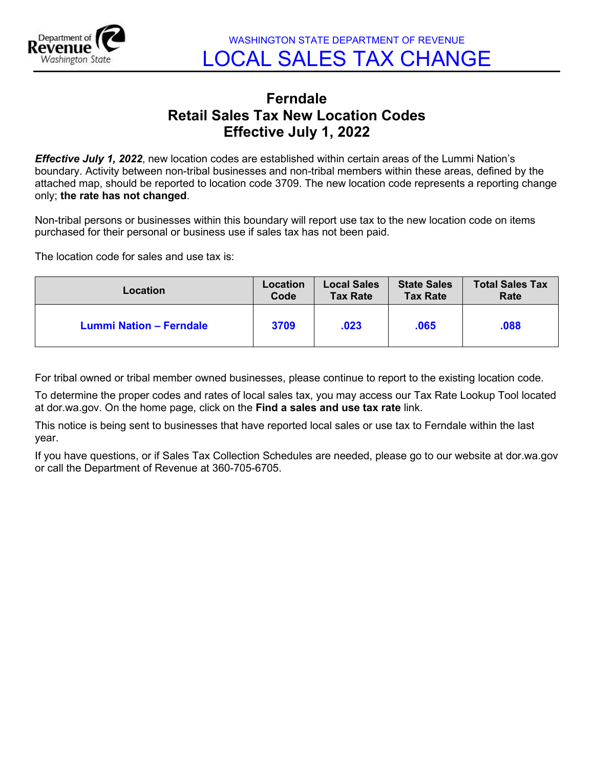

## **Ferndale Retail Sales Tax New Location Codes Effective July 1, 2022**

*Effective July 1, 2022*, new location codes are established within certain areas of the Lummi Nation's boundary. Activity between non-tribal businesses and non-tribal members within these areas, defined by the attached map, should be reported to location code 3709. The new location code represents a reporting change only; **the rate has not changed**.

Non-tribal persons or businesses within this boundary will report use tax to the new location code on items purchased for their personal or business use if sales tax has not been paid.

The location code for sales and use tax is:

| Location                | Location | <b>Local Sales</b> | <b>State Sales</b> | <b>Total Sales Tax</b> |
|-------------------------|----------|--------------------|--------------------|------------------------|
|                         | Code     | <b>Tax Rate</b>    | <b>Tax Rate</b>    | Rate                   |
| Lummi Nation - Ferndale | 3709     | .023               | .065               | .088                   |

For tribal owned or tribal member owned businesses, please continue to report to the existing location code.

To determine the proper codes and rates of local sales tax, you may access our Tax Rate Lookup Tool located at dor.wa.gov. On the home page, click on the **Find a sales and use tax rate** link.

This notice is being sent to businesses that have reported local sales or use tax to Ferndale within the last year.

If you have questions, or if Sales Tax Collection Schedules are needed, please go to our website at dor.wa.gov or call the Department of Revenue at 360-705-6705.